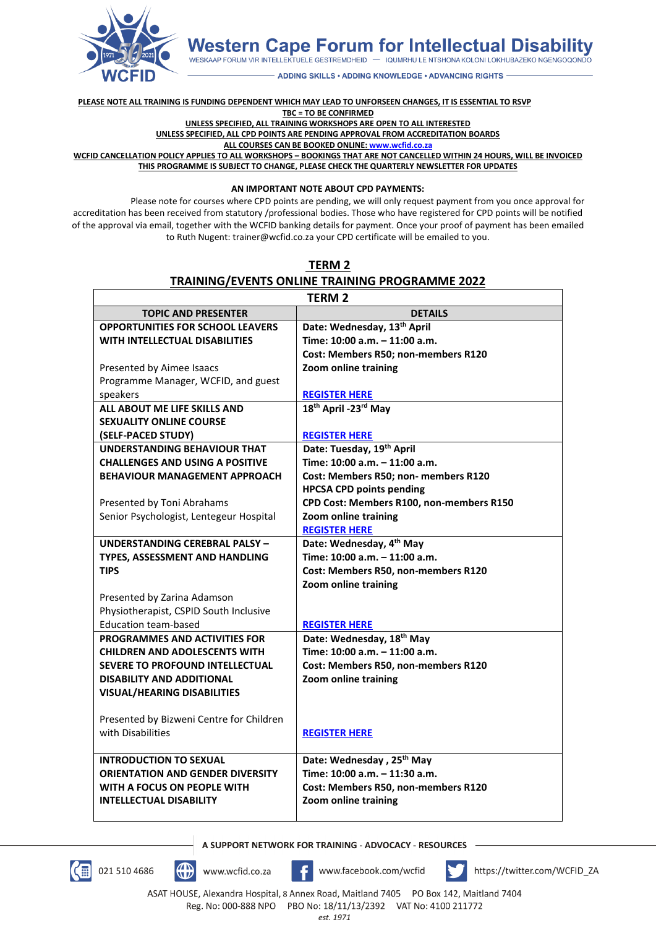

**Western Cape Forum for Intellectual Disability** 

WESKAAP FORUM VIR INTELLEKTUELE GESTREMDHEID - IQUMRHU LE NTSHONA KOLONI LOKHUBAZEKO NGENGOQONDO

**ADDING SKILLS . ADDING KNOWLEDGE . ADVANCING RIGHTS** 

**PLEASE NOTE ALL TRAINING IS FUNDING DEPENDENT WHICH MAY LEAD TO UNFORSEEN CHANGES, IT IS ESSENTIAL TO RSVP TBC = TO BE CONFIRMED**

**UNLESS SPECIFIED, ALL TRAINING WORKSHOPS ARE OPEN TO ALL INTERESTED**

**UNLESS SPECIFIED, ALL CPD POINTS ARE PENDING APPROVAL FROM ACCREDITATION BOARDS**

**ALL COURSES CAN BE BOOKED ONLINE[: www.wcfid.co.za](http://www.wcfid.co.za/)**

**WCFID CANCELLATION POLICY APPLIES TO ALL WORKSHOPS – BOOKINGS THAT ARE NOT CANCELLED WITHIN 24 HOURS, WILL BE INVOICED THIS PROGRAMME IS SUBJECT TO CHANGE, PLEASE CHECK THE QUARTERLY NEWSLETTER FOR UPDATES**

**AN IMPORTANT NOTE ABOUT CPD PAYMENTS:**

Please note for courses where CPD points are pending, we will only request payment from you once approval for accreditation has been received from statutory /professional bodies. Those who have registered for CPD points will be notified of the approval via email, together with the WCFID banking details for payment. Once your proof of payment has been emailed to Ruth Nugent: trainer@wcfid.co.za your CPD certificate will be emailed to you.

| <b>TERM 2</b>                                  |  |
|------------------------------------------------|--|
| TRAINING/EVENTS ONLINE TRAINING PROGRAMME 2022 |  |

| <b>TERM2</b>                             |                                          |
|------------------------------------------|------------------------------------------|
| <b>TOPIC AND PRESENTER</b>               | <b>DETAILS</b>                           |
| <b>OPPORTUNITIES FOR SCHOOL LEAVERS</b>  | Date: Wednesday, 13th April              |
| WITH INTELLECTUAL DISABILITIES           | Time: 10:00 a.m. - 11:00 a.m.            |
|                                          | Cost: Members R50; non-members R120      |
| Presented by Aimee Isaacs                | Zoom online training                     |
| Programme Manager, WCFID, and guest      |                                          |
| speakers                                 | <b>REGISTER HERE</b>                     |
| ALL ABOUT ME LIFE SKILLS AND             | 18th April -23rd May                     |
| <b>SEXUALITY ONLINE COURSE</b>           |                                          |
| (SELF-PACED STUDY)                       | <b>REGISTER HERE</b>                     |
| <b>UNDERSTANDING BEHAVIOUR THAT</b>      | Date: Tuesday, 19th April                |
| <b>CHALLENGES AND USING A POSITIVE</b>   | Time: 10:00 a.m. - 11:00 a.m.            |
| <b>BEHAVIOUR MANAGEMENT APPROACH</b>     | Cost: Members R50; non- members R120     |
|                                          | <b>HPCSA CPD points pending</b>          |
| Presented by Toni Abrahams               | CPD Cost: Members R100, non-members R150 |
| Senior Psychologist, Lentegeur Hospital  | Zoom online training                     |
|                                          | <b>REGISTER HERE</b>                     |
| UNDERSTANDING CEREBRAL PALSY -           | Date: Wednesday, 4th May                 |
| TYPES, ASSESSMENT AND HANDLING           | Time: 10:00 a.m. - 11:00 a.m.            |
| <b>TIPS</b>                              | Cost: Members R50, non-members R120      |
|                                          | Zoom online training                     |
| Presented by Zarina Adamson              |                                          |
| Physiotherapist, CSPID South Inclusive   |                                          |
| <b>Education team-based</b>              | <b>REGISTER HERE</b>                     |
| <b>PROGRAMMES AND ACTIVITIES FOR</b>     | Date: Wednesday, 18 <sup>th</sup> May    |
| <b>CHILDREN AND ADOLESCENTS WITH</b>     | Time: 10:00 a.m. - 11:00 a.m.            |
| <b>SEVERE TO PROFOUND INTELLECTUAL</b>   | Cost: Members R50, non-members R120      |
| <b>DISABILITY AND ADDITIONAL</b>         | Zoom online training                     |
| <b>VISUAL/HEARING DISABILITIES</b>       |                                          |
| Presented by Bizweni Centre for Children |                                          |
| with Disabilities                        | <b>REGISTER HERE</b>                     |
| <b>INTRODUCTION TO SEXUAL</b>            | Date: Wednesday, 25 <sup>th</sup> May    |
| <b>ORIENTATION AND GENDER DIVERSITY</b>  | Time: 10:00 a.m. - 11:30 a.m.            |
| WITH A FOCUS ON PEOPLE WITH              | Cost: Members R50, non-members R120      |
| <b>INTELLECTUAL DISABILITY</b>           | Zoom online training                     |
|                                          |                                          |

A SUPPORT NETWORK FOR TRAINING - ADVOCACY - RESOURCES

 $\mathbb{C}$ 





www.facebook.com/wcfid



https://twitter.com/WCFID\_ZA

ASAT HOUSE, Alexandra Hospital, 8 Annex Road, Maitland 7405 PO Box 142, Maitland 7404 Reg. No: 000-888 NPO PBO No: 18/11/13/2392 VAT No: 4100 211772